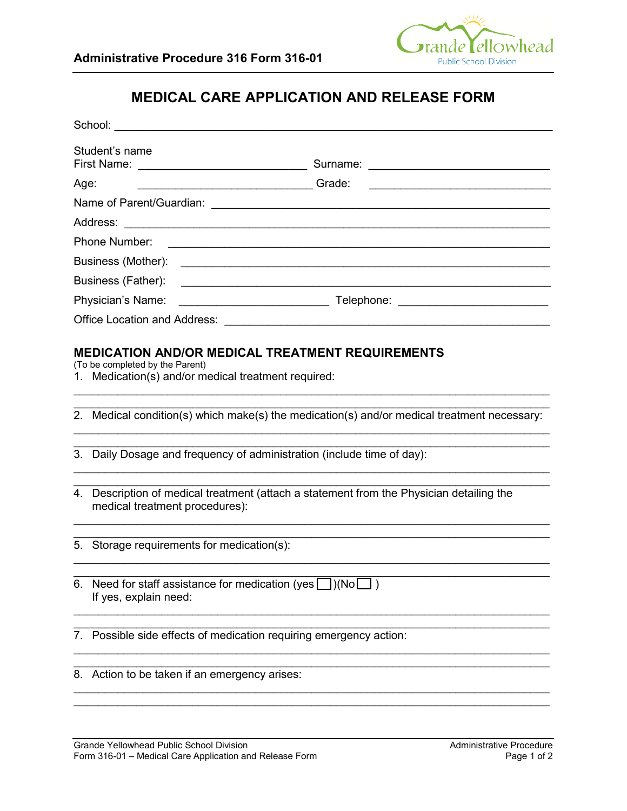

# **MEDICAL CARE APPLICATION AND RELEASE FORM**

|      | School:<br><u> 1980 - Jan Barat, margaret eta politikaria (h. 1980).</u>                                                   |                                                                                                                                                                                                                                     |
|------|----------------------------------------------------------------------------------------------------------------------------|-------------------------------------------------------------------------------------------------------------------------------------------------------------------------------------------------------------------------------------|
|      | Student's name                                                                                                             |                                                                                                                                                                                                                                     |
| Age: | <u>Crade: Crade: Crade: Crade: Crade: Crade: Crade: Crade: C</u>                                                           |                                                                                                                                                                                                                                     |
|      |                                                                                                                            |                                                                                                                                                                                                                                     |
|      |                                                                                                                            | Address: <u>Address:</u> Address: Address: Address: Address: Address: Address: Address: Address: Address: Address: Address: Address: Address: Address: Address: Address: Address: Address: Address: Address: Address: Address: Addr |
|      | Phone Number:                                                                                                              |                                                                                                                                                                                                                                     |
|      |                                                                                                                            |                                                                                                                                                                                                                                     |
|      | Business (Father):                                                                                                         | <u> 1989 - Johann Stoff, amerikansk politiker (d. 1989)</u>                                                                                                                                                                         |
|      | Physician's Name:                                                                                                          |                                                                                                                                                                                                                                     |
|      |                                                                                                                            | Office Location and Address: The Contract of the Contract of the Contract of the Contract of the Contract of the Contract of the Contract of the Contract of the Contract of the Contract of the Contract of the Contract of t      |
|      | (To be completed by the Parent)<br>1. Medication(s) and/or medical treatment required:                                     | 2. Medical condition(s) which make(s) the medication(s) and/or medical treatment necessary:<br>3. Daily Dosage and frequency of administration (include time of day):                                                               |
|      | 4. Description of medical treatment (attach a statement from the Physician detailing the<br>medical treatment procedures): |                                                                                                                                                                                                                                     |
|      | 5. Storage requirements for medication(s):                                                                                 |                                                                                                                                                                                                                                     |
|      | 6. Need for staff assistance for medication (yes $\Box$ )(No $\Box$ )<br>If yes, explain need:                             |                                                                                                                                                                                                                                     |
|      | 7. Possible side effects of medication requiring emergency action:                                                         |                                                                                                                                                                                                                                     |

\_\_\_\_\_\_\_\_\_\_\_\_\_\_\_\_\_\_\_\_\_\_\_\_\_\_\_\_\_\_\_\_\_\_\_\_\_\_\_\_\_\_\_\_\_\_\_\_\_\_\_\_\_\_\_\_\_\_\_\_\_\_\_\_\_\_\_\_\_\_\_\_\_\_\_\_

\_\_\_\_\_\_\_\_\_\_\_\_\_\_\_\_\_\_\_\_\_\_\_\_\_\_\_\_\_\_\_\_\_\_\_\_\_\_\_\_\_\_\_\_\_\_\_\_\_\_\_\_\_\_\_\_\_\_\_\_\_\_\_\_\_\_\_\_\_\_\_\_\_\_\_\_ \_\_\_\_\_\_\_\_\_\_\_\_\_\_\_\_\_\_\_\_\_\_\_\_\_\_\_\_\_\_\_\_\_\_\_\_\_\_\_\_\_\_\_\_\_\_\_\_\_\_\_\_\_\_\_\_\_\_\_\_\_\_\_\_\_\_\_\_\_\_\_\_\_\_\_\_

\_\_\_\_\_\_\_\_\_\_\_\_\_\_\_\_\_\_\_\_\_\_\_\_\_\_\_\_\_\_\_\_\_\_\_\_\_\_\_\_\_\_\_\_\_\_\_\_\_\_\_\_\_\_\_\_\_\_\_\_\_\_\_\_\_\_\_\_\_\_\_\_\_\_\_\_ 8. Action to be taken if an emergency arises: